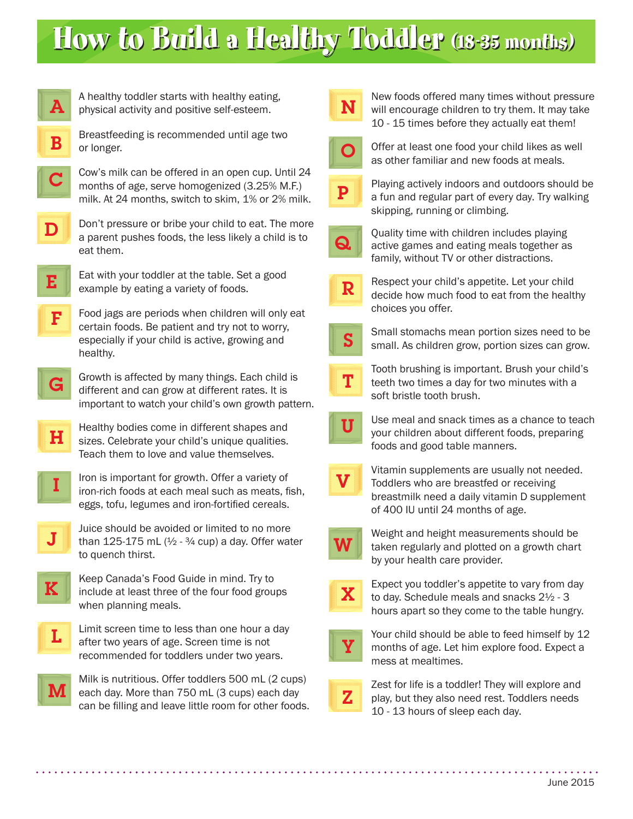# How to Build a Healthy Toddler (18-35 months)



A healthy toddler starts with healthy eating, physical activity and positive self-esteem.

Breastfeeding is recommended until age two or longer. B





 ${\bf D}$ 

Don't pressure or bribe your child to eat. The more a parent pushes foods, the less likely a child is to eat them.



Eat with your toddler at the table. Set a good example by eating a variety of foods.

- Food jags are periods when children will only eat certain foods. Be patient and try not to worry, especially if your child is active, growing and healthy.  $\mathbf F$
- Growth is affected by many things. Each child is different and can grow at different rates. It is important to watch your child's own growth pattern. G
- Healthy bodies come in different shapes and sizes. Celebrate your child's unique qualities. Teach them to love and value themselves.  $H$
- Iron is important for growth. Offer a variety of iron-rich foods at each meal such as meats, fish, eggs, tofu, legumes and iron-fortified cereals. I
- Juice should be avoided or limited to no more than 125-175 mL  $(1/2 - 3/4 \text{ cup})$  a day. Offer water to quench thirst. J





Limit screen time to less than one hour a day after two years of age. Screen time is not recommended for toddlers under two years.



Milk is nutritious. Offer toddlers 500 mL (2 cups) each day. More than 750 mL (3 cups) each day can be filling and leave little room for other foods.



New foods offered many times without pressure will encourage children to try them. It may take 10 - 15 times before they actually eat them!



Offer at least one food your child likes as well as other familiar and new foods at meals.



Playing actively indoors and outdoors should be a fun and regular part of every day. Try walking skipping, running or climbing.



Quality time with children includes playing active games and eating meals together as family, without TV or other distractions.



Respect your child's appetite. Let your child decide how much food to eat from the healthy choices you offer.



Small stomachs mean portion sizes need to be small. As children grow, portion sizes can grow.



Tooth brushing is important. Brush your child's teeth two times a day for two minutes with a soft bristle tooth brush.



Use meal and snack times as a chance to teach your children about different foods, preparing foods and good table manners.



Vitamin supplements are usually not needed. Toddlers who are breastfed or receiving breastmilk need a daily vitamin D supplement of 400 IU until 24 months of age.



Weight and height measurements should be taken regularly and plotted on a growth chart by your health care provider.



Expect you toddler's appetite to vary from day to day. Schedule meals and snacks 2½ - 3 hours apart so they come to the table hungry.



Your child should be able to feed himself by 12 months of age. Let him explore food. Expect a mess at mealtimes.



Zest for life is a toddler! They will explore and play, but they also need rest. Toddlers needs 10 - 13 hours of sleep each day.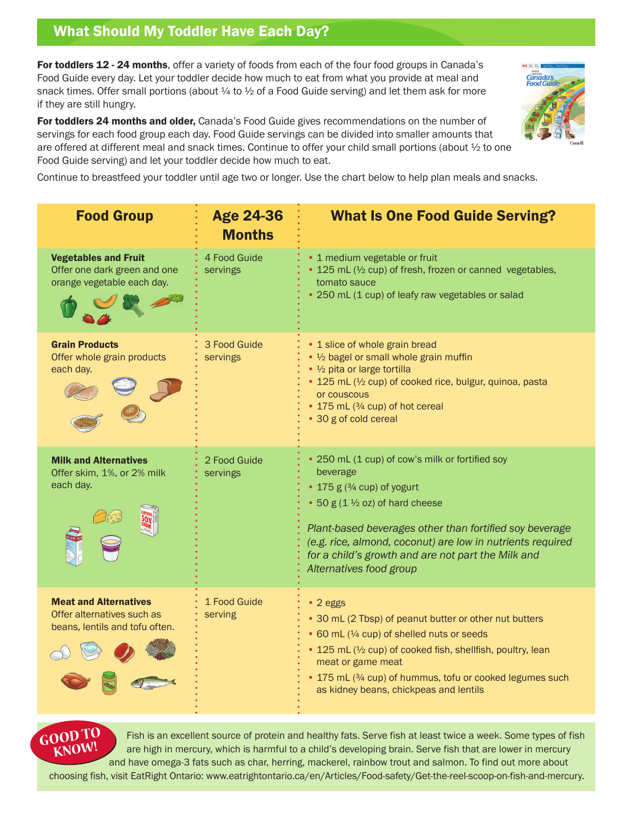# What Should My Toddler Have Each Day?

For toddlers 12 - 24 months, offer a variety of foods from each of the four food groups in Canada's Food Guide every day. Let your toddler decide how much to eat from what you provide at meal and snack times. Offer small portions (about  $\frac{1}{4}$  to  $\frac{1}{2}$  of a Food Guide serving) and let them ask for more if they are still hungry.

For toddlers 24 months and older, Canada's Food Guide gives recommendations on the number of servings for each food group each day. Food Guide servings can be divided into smaller amounts that are offered at different meal and snack times. Continue to offer your child small portions (about ½ to one Food Guide serving) and let your toddler decide how much to eat.



Continue to breastfeed your toddler until age two or longer. Use the chart below to help plan meals and snacks.

| <b>Food Group</b>                                                                            | <b>Age 24-36</b><br><b>Months</b> | <b>What Is One Food Guide Serving?</b>                                                                                                                                                                                                                                                                                                           |
|----------------------------------------------------------------------------------------------|-----------------------------------|--------------------------------------------------------------------------------------------------------------------------------------------------------------------------------------------------------------------------------------------------------------------------------------------------------------------------------------------------|
| <b>Vegetables and Fruit</b><br>Offer one dark green and one<br>orange vegetable each day.    | 4 Food Guide<br>servings          | • 1 medium vegetable or fruit<br>• 125 mL (1/2 cup) of fresh, frozen or canned vegetables,<br>tomato sauce<br>• 250 mL (1 cup) of leafy raw vegetables or salad                                                                                                                                                                                  |
| <b>Grain Products</b><br>Offer whole grain products<br>each day.                             | 3 Food Guide<br>servings          | • 1 slice of whole grain bread<br>• 1/2 bagel or small whole grain muffin<br>• 1/2 pita or large tortilla<br>• 125 mL (1/2 cup) of cooked rice, bulgur, quinoa, pasta<br>or couscous<br>• 175 mL (3/4 cup) of hot cereal<br>• 30 g of cold cereal                                                                                                |
| <b>Milk and Alternatives</b><br>Offer skim, 1%, or 2% milk<br>each day.                      | 2 Food Guide<br>servings          | • 250 mL (1 cup) of cow's milk or fortified soy<br>beverage<br>• 175 g (3/4 cup) of yogurt<br>• 50 $g(1\frac{1}{2}$ oz) of hard cheese<br>Plant-based beverages other than fortified soy beverage<br>(e.g. rice, almond, coconut) are low in nutrients required<br>for a child's growth and are not part the Milk and<br>Alternatives food group |
| <b>Meat and Alternatives</b><br>Offer alternatives such as<br>beans, lentils and tofu often. | 1 Food Guide<br>serving           | • 2 eggs<br>• 30 mL (2 Tbsp) of peanut butter or other nut butters<br>• 60 mL (1/4 cup) of shelled nuts or seeds<br>• 125 mL (1/2 cup) of cooked fish, shellfish, poultry, lean<br>meat or game meat<br>• 175 mL (3/4 cup) of hummus, tofu or cooked legumes such<br>as kidney beans, chickpeas and lentils                                      |



Fish is an excellent source of protein and healthy fats. Serve fish at least twice a week. Some types of fish are high in mercury, which is harmful to a child's developing brain. Serve fish that are lower in mercury and have omega-3 fats such as char, herring, mackerel, rainbow trout and salmon. To find out more about choosing fish, visit EatRight Ontario: [www.eatrightontario.ca/en/Articles/Food-safety/Get-the-reel-scoop-on-fish-and-mercury.](http://www.eatrightontario.ca/en/Articles/Food-safety/Get-the-reel-scoop-on-fish-and-mercury)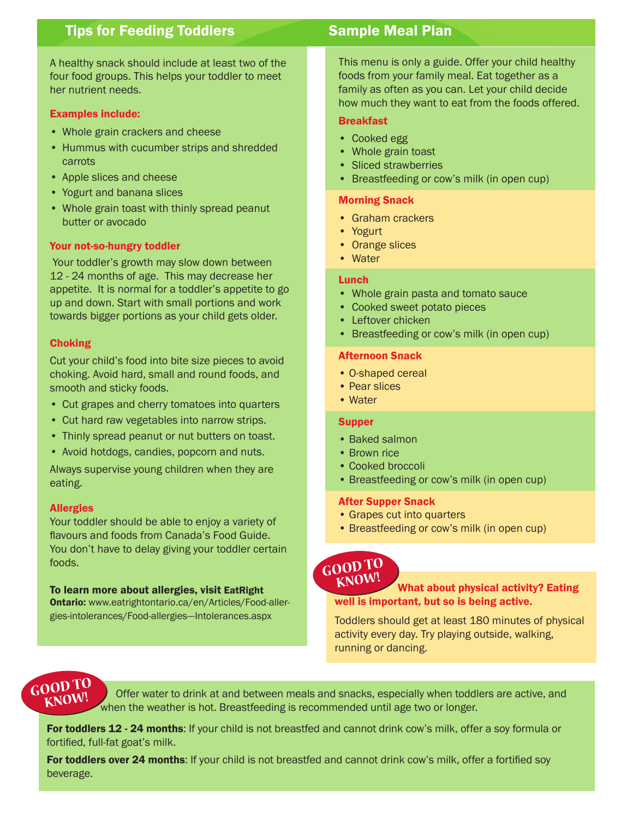## **Tips for Feeding Toddlers Sample Meal Plan**

A healthy snack should include at least two of the four food groups. This helps your toddler to meet her nutrient needs.

#### Examples include:

- Whole grain crackers and cheese
- Hummus with cucumber strips and shredded carrots
- Apple slices and cheese
- Yogurt and banana slices
- Whole grain toast with thinly spread peanut butter or avocado

#### Your not-so-hungry toddler

 Your toddler's growth may slow down between 12 - 24 months of age. This may decrease her appetite. It is normal for a toddler's appetite to go up and down. Start with small portions and work towards bigger portions as your child gets older.

#### Choking

Cut your child's food into bite size pieces to avoid choking. Avoid hard, small and round foods, and smooth and sticky foods.

- Cut grapes and cherry tomatoes into quarters
- Cut hard raw vegetables into narrow strips.
- Thinly spread peanut or nut butters on toast.
- Avoid hotdogs, candies, popcorn and nuts.

Always supervise young children when they are eating.

### **Allergies**

Your toddler should be able to enjoy a variety of flavours and foods from Canada's Food Guide. You don't have to delay giving your toddler certain foods.

### To learn more about allergies, visit EatRight

Ontario: [www.eatrightontario.ca/en/Articles/Food-alle](http://www.eatrightontario.ca/en/Articles/Food-aller�gies-intolerances/Food-allergies---Intolerances.aspx)r[gies-intolerances/Food-allergies---Intolerances.aspx](http://www.eatrightontario.ca/en/Articles/Food-aller�gies-intolerances/Food-allergies---Intolerances.aspx)

This menu is only a guide. Offer your child healthy foods from your family meal. Eat together as a family as often as you can. Let your child decide how much they want to eat from the foods offered.

#### Breakfast

- Cooked egg
- Whole grain toast
- Sliced strawberries
- Breastfeeding or cow's milk (in open cup)

#### Morning Snack

- Graham crackers
- Yogurt
- Orange slices
- Water

#### Lunch

- Whole grain pasta and tomato sauce
- Cooked sweet potato pieces
- Leftover chicken
- Breastfeeding or cow's milk (in open cup)

#### Afternoon Snack

- O-shaped cereal
- Pear slices
- Water

#### **Supper**

- Baked salmon
- Brown rice
- Cooked broccoli
- Breastfeeding or cow's milk (in open cup)

#### After Supper Snack

- Grapes cut into quarters
- Breastfeeding or cow's milk (in open cup)

### $GOODTO$ **KNOW!**

### What about physical activity? Eating well is important, but so is being active.

Toddlers should get at least 180 minutes of physical activity every day. Try playing outside, walking, running or dancing.

GOOD TO STORE Offer water to drink at and between meals and snacks, especially when toddlers are active, and when the weather is hot. Breastfeeding is recommended until age two or longer.

For toddlers 12 - 24 months: If your child is not breastfed and cannot drink cow's milk, offer a soy formula or fortified, full-fat goat's milk.

For toddlers over 24 months: If your child is not breastfed and cannot drink cow's milk, offer a fortified soy beverage.